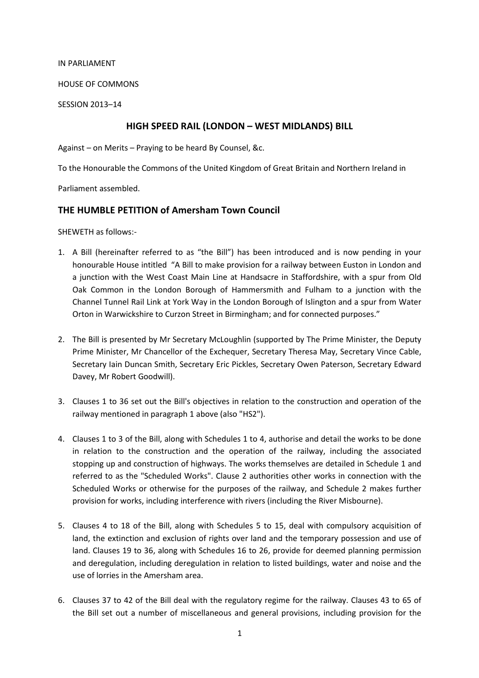#### IN PARLIAMENT

#### HOUSE OF COMMONS

SESSION 2013–14

## HIGH SPEED RAIL (LONDON – WEST MIDLANDS) BILL

Against – on Merits – Praying to be heard By Counsel, &c.

To the Honourable the Commons of the United Kingdom of Great Britain and Northern Ireland in

Parliament assembled.

#### THE HUMBLE PETITION of Amersham Town Council

SHEWETH as follows:-

- 1. A Bill (hereinafter referred to as "the Bill") has been introduced and is now pending in your honourable House intitled "A Bill to make provision for a railway between Euston in London and a junction with the West Coast Main Line at Handsacre in Staffordshire, with a spur from Old Oak Common in the London Borough of Hammersmith and Fulham to a junction with the Channel Tunnel Rail Link at York Way in the London Borough of Islington and a spur from Water Orton in Warwickshire to Curzon Street in Birmingham; and for connected purposes."
- 2. The Bill is presented by Mr Secretary McLoughlin (supported by The Prime Minister, the Deputy Prime Minister, Mr Chancellor of the Exchequer, Secretary Theresa May, Secretary Vince Cable, Secretary Iain Duncan Smith, Secretary Eric Pickles, Secretary Owen Paterson, Secretary Edward Davey, Mr Robert Goodwill).
- 3. Clauses 1 to 36 set out the Bill's objectives in relation to the construction and operation of the railway mentioned in paragraph 1 above (also "HS2").
- 4. Clauses 1 to 3 of the Bill, along with Schedules 1 to 4, authorise and detail the works to be done in relation to the construction and the operation of the railway, including the associated stopping up and construction of highways. The works themselves are detailed in Schedule 1 and referred to as the "Scheduled Works". Clause 2 authorities other works in connection with the Scheduled Works or otherwise for the purposes of the railway, and Schedule 2 makes further provision for works, including interference with rivers (including the River Misbourne).
- 5. Clauses 4 to 18 of the Bill, along with Schedules 5 to 15, deal with compulsory acquisition of land, the extinction and exclusion of rights over land and the temporary possession and use of land. Clauses 19 to 36, along with Schedules 16 to 26, provide for deemed planning permission and deregulation, including deregulation in relation to listed buildings, water and noise and the use of lorries in the Amersham area.
- 6. Clauses 37 to 42 of the Bill deal with the regulatory regime for the railway. Clauses 43 to 65 of the Bill set out a number of miscellaneous and general provisions, including provision for the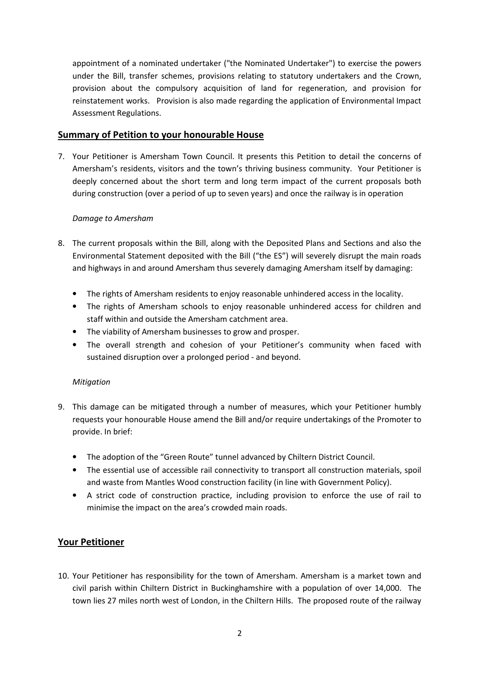appointment of a nominated undertaker ("the Nominated Undertaker") to exercise the powers under the Bill, transfer schemes, provisions relating to statutory undertakers and the Crown, provision about the compulsory acquisition of land for regeneration, and provision for reinstatement works. Provision is also made regarding the application of Environmental Impact Assessment Regulations.

#### Summary of Petition to your honourable House

7. Your Petitioner is Amersham Town Council. It presents this Petition to detail the concerns of Amersham's residents, visitors and the town's thriving business community. Your Petitioner is deeply concerned about the short term and long term impact of the current proposals both during construction (over a period of up to seven years) and once the railway is in operation

#### Damage to Amersham

- 8. The current proposals within the Bill, along with the Deposited Plans and Sections and also the Environmental Statement deposited with the Bill ("the ES") will severely disrupt the main roads and highways in and around Amersham thus severely damaging Amersham itself by damaging:
	- The rights of Amersham residents to enjoy reasonable unhindered access in the locality.
	- The rights of Amersham schools to enjoy reasonable unhindered access for children and staff within and outside the Amersham catchment area.
	- The viability of Amersham businesses to grow and prosper.
	- The overall strength and cohesion of your Petitioner's community when faced with sustained disruption over a prolonged period - and beyond.

#### Mitigation

- 9. This damage can be mitigated through a number of measures, which your Petitioner humbly requests your honourable House amend the Bill and/or require undertakings of the Promoter to provide. In brief:
	- The adoption of the "Green Route" tunnel advanced by Chiltern District Council.
	- The essential use of accessible rail connectivity to transport all construction materials, spoil and waste from Mantles Wood construction facility (in line with Government Policy).
	- A strict code of construction practice, including provision to enforce the use of rail to minimise the impact on the area's crowded main roads.

## Your Petitioner

10. Your Petitioner has responsibility for the town of Amersham. Amersham is a market town and civil parish within Chiltern District in Buckinghamshire with a population of over 14,000. The town lies 27 miles north west of London, in the Chiltern Hills. The proposed route of the railway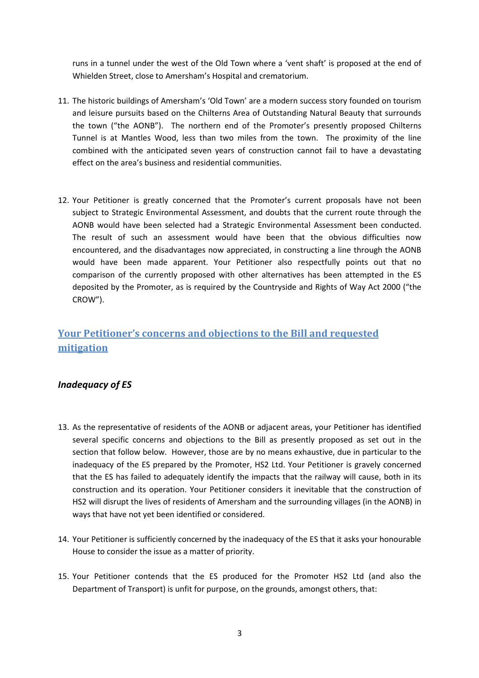runs in a tunnel under the west of the Old Town where a 'vent shaft' is proposed at the end of Whielden Street, close to Amersham's Hospital and crematorium.

- 11. The historic buildings of Amersham's 'Old Town' are a modern success story founded on tourism and leisure pursuits based on the Chilterns Area of Outstanding Natural Beauty that surrounds the town ("the AONB"). The northern end of the Promoter's presently proposed Chilterns Tunnel is at Mantles Wood, less than two miles from the town. The proximity of the line combined with the anticipated seven years of construction cannot fail to have a devastating effect on the area's business and residential communities.
- 12. Your Petitioner is greatly concerned that the Promoter's current proposals have not been subject to Strategic Environmental Assessment, and doubts that the current route through the AONB would have been selected had a Strategic Environmental Assessment been conducted. The result of such an assessment would have been that the obvious difficulties now encountered, and the disadvantages now appreciated, in constructing a line through the AONB would have been made apparent. Your Petitioner also respectfully points out that no comparison of the currently proposed with other alternatives has been attempted in the ES deposited by the Promoter, as is required by the Countryside and Rights of Way Act 2000 ("the CROW").

# Your Petitioner's concerns and objections to the Bill and requested mitigation

# Inadequacy of ES

- 13. As the representative of residents of the AONB or adjacent areas, your Petitioner has identified several specific concerns and objections to the Bill as presently proposed as set out in the section that follow below. However, those are by no means exhaustive, due in particular to the inadequacy of the ES prepared by the Promoter, HS2 Ltd. Your Petitioner is gravely concerned that the ES has failed to adequately identify the impacts that the railway will cause, both in its construction and its operation. Your Petitioner considers it inevitable that the construction of HS2 will disrupt the lives of residents of Amersham and the surrounding villages (in the AONB) in ways that have not yet been identified or considered.
- 14. Your Petitioner is sufficiently concerned by the inadequacy of the ES that it asks your honourable House to consider the issue as a matter of priority.
- 15. Your Petitioner contends that the ES produced for the Promoter HS2 Ltd (and also the Department of Transport) is unfit for purpose, on the grounds, amongst others, that: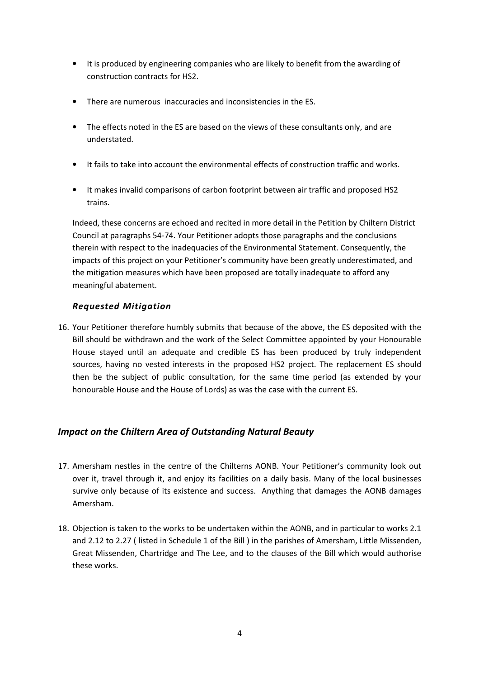- It is produced by engineering companies who are likely to benefit from the awarding of construction contracts for HS2.
- There are numerous inaccuracies and inconsistencies in the ES.
- The effects noted in the ES are based on the views of these consultants only, and are understated.
- It fails to take into account the environmental effects of construction traffic and works.
- It makes invalid comparisons of carbon footprint between air traffic and proposed HS2 trains.

Indeed, these concerns are echoed and recited in more detail in the Petition by Chiltern District Council at paragraphs 54-74. Your Petitioner adopts those paragraphs and the conclusions therein with respect to the inadequacies of the Environmental Statement. Consequently, the impacts of this project on your Petitioner's community have been greatly underestimated, and the mitigation measures which have been proposed are totally inadequate to afford any meaningful abatement.

#### Requested Mitigation

16. Your Petitioner therefore humbly submits that because of the above, the ES deposited with the Bill should be withdrawn and the work of the Select Committee appointed by your Honourable House stayed until an adequate and credible ES has been produced by truly independent sources, having no vested interests in the proposed HS2 project. The replacement ES should then be the subject of public consultation, for the same time period (as extended by your honourable House and the House of Lords) as was the case with the current ES.

## Impact on the Chiltern Area of Outstanding Natural Beauty

- 17. Amersham nestles in the centre of the Chilterns AONB. Your Petitioner's community look out over it, travel through it, and enjoy its facilities on a daily basis. Many of the local businesses survive only because of its existence and success. Anything that damages the AONB damages Amersham.
- 18. Objection is taken to the works to be undertaken within the AONB, and in particular to works 2.1 and 2.12 to 2.27 ( listed in Schedule 1 of the Bill ) in the parishes of Amersham, Little Missenden, Great Missenden, Chartridge and The Lee, and to the clauses of the Bill which would authorise these works.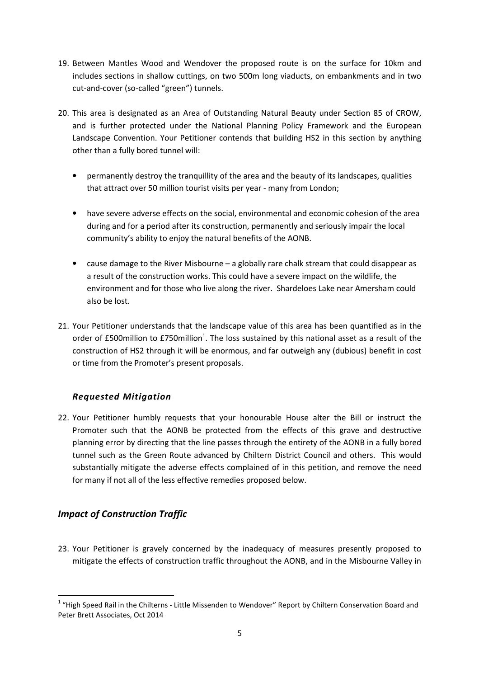- 19. Between Mantles Wood and Wendover the proposed route is on the surface for 10km and includes sections in shallow cuttings, on two 500m long viaducts, on embankments and in two cut-and-cover (so-called "green") tunnels.
- 20. This area is designated as an Area of Outstanding Natural Beauty under Section 85 of CROW, and is further protected under the National Planning Policy Framework and the European Landscape Convention. Your Petitioner contends that building HS2 in this section by anything other than a fully bored tunnel will:
	- permanently destroy the tranquillity of the area and the beauty of its landscapes, qualities that attract over 50 million tourist visits per year - many from London;
	- have severe adverse effects on the social, environmental and economic cohesion of the area during and for a period after its construction, permanently and seriously impair the local community's ability to enjoy the natural benefits of the AONB.
	- cause damage to the River Misbourne a globally rare chalk stream that could disappear as a result of the construction works. This could have a severe impact on the wildlife, the environment and for those who live along the river. Shardeloes Lake near Amersham could also be lost.
- 21. Your Petitioner understands that the landscape value of this area has been quantified as in the order of £500million to £750million<sup>1</sup>. The loss sustained by this national asset as a result of the construction of HS2 through it will be enormous, and far outweigh any (dubious) benefit in cost or time from the Promoter's present proposals.

## Requested Mitigation

22. Your Petitioner humbly requests that your honourable House alter the Bill or instruct the Promoter such that the AONB be protected from the effects of this grave and destructive planning error by directing that the line passes through the entirety of the AONB in a fully bored tunnel such as the Green Route advanced by Chiltern District Council and others. This would substantially mitigate the adverse effects complained of in this petition, and remove the need for many if not all of the less effective remedies proposed below.

# Impact of Construction Traffic

 $\overline{\phantom{0}}$ 

23. Your Petitioner is gravely concerned by the inadequacy of measures presently proposed to mitigate the effects of construction traffic throughout the AONB, and in the Misbourne Valley in

 $1$  "High Speed Rail in the Chilterns - Little Missenden to Wendover" Report by Chiltern Conservation Board and Peter Brett Associates, Oct 2014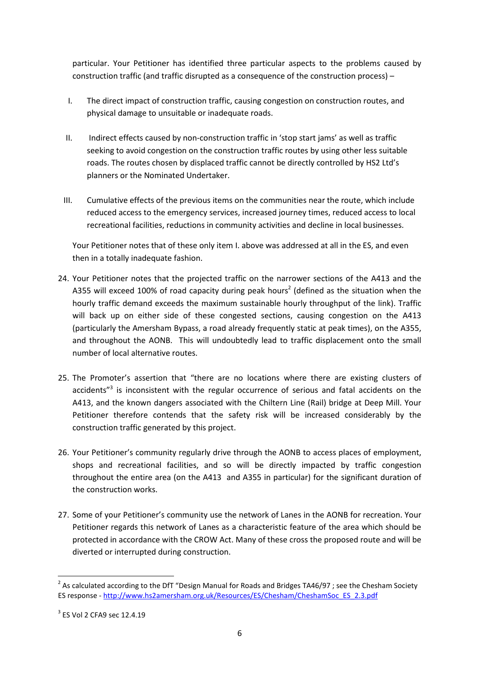particular. Your Petitioner has identified three particular aspects to the problems caused by construction traffic (and traffic disrupted as a consequence of the construction process) –

- I. The direct impact of construction traffic, causing congestion on construction routes, and physical damage to unsuitable or inadequate roads.
- II. Indirect effects caused by non-construction traffic in 'stop start jams' as well as traffic seeking to avoid congestion on the construction traffic routes by using other less suitable roads. The routes chosen by displaced traffic cannot be directly controlled by HS2 Ltd's planners or the Nominated Undertaker.
- III. Cumulative effects of the previous items on the communities near the route, which include reduced access to the emergency services, increased journey times, reduced access to local recreational facilities, reductions in community activities and decline in local businesses.

Your Petitioner notes that of these only item I. above was addressed at all in the ES, and even then in a totally inadequate fashion.

- 24. Your Petitioner notes that the projected traffic on the narrower sections of the A413 and the A355 will exceed 100% of road capacity during peak hours<sup>2</sup> (defined as the situation when the hourly traffic demand exceeds the maximum sustainable hourly throughput of the link). Traffic will back up on either side of these congested sections, causing congestion on the A413 (particularly the Amersham Bypass, a road already frequently static at peak times), on the A355, and throughout the AONB. This will undoubtedly lead to traffic displacement onto the small number of local alternative routes.
- 25. The Promoter's assertion that "there are no locations where there are existing clusters of accidents"<sup>3</sup> is inconsistent with the regular occurrence of serious and fatal accidents on the A413, and the known dangers associated with the Chiltern Line (Rail) bridge at Deep Mill. Your Petitioner therefore contends that the safety risk will be increased considerably by the construction traffic generated by this project.
- 26. Your Petitioner's community regularly drive through the AONB to access places of employment, shops and recreational facilities, and so will be directly impacted by traffic congestion throughout the entire area (on the A413 and A355 in particular) for the significant duration of the construction works.
- 27. Some of your Petitioner's community use the network of Lanes in the AONB for recreation. Your Petitioner regards this network of Lanes as a characteristic feature of the area which should be protected in accordance with the CROW Act. Many of these cross the proposed route and will be diverted or interrupted during construction.

 $\overline{\phantom{0}}$ 

<sup>&</sup>lt;sup>2</sup> As calculated according to the DfT "Design Manual for Roads and Bridges TA46/97 ; see the Chesham Society ES response - http://www.hs2amersham.org.uk/Resources/ES/Chesham/CheshamSoc\_ES\_2.3.pdf

 $3$  ES Vol 2 CFA9 sec 12.4.19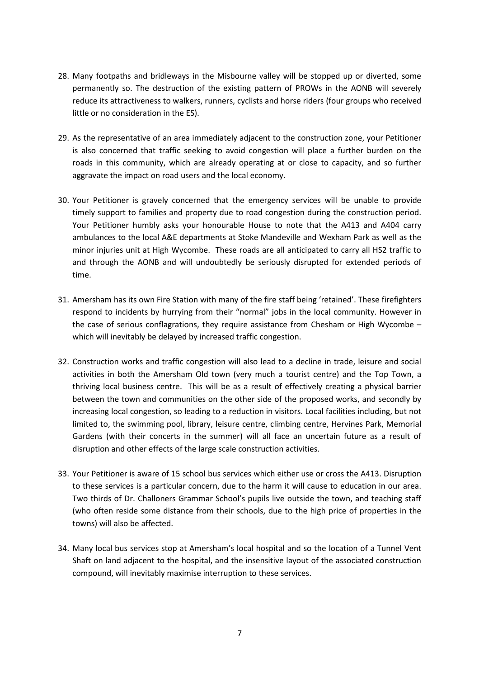- 28. Many footpaths and bridleways in the Misbourne valley will be stopped up or diverted, some permanently so. The destruction of the existing pattern of PROWs in the AONB will severely reduce its attractiveness to walkers, runners, cyclists and horse riders (four groups who received little or no consideration in the ES).
- 29. As the representative of an area immediately adjacent to the construction zone, your Petitioner is also concerned that traffic seeking to avoid congestion will place a further burden on the roads in this community, which are already operating at or close to capacity, and so further aggravate the impact on road users and the local economy.
- 30. Your Petitioner is gravely concerned that the emergency services will be unable to provide timely support to families and property due to road congestion during the construction period. Your Petitioner humbly asks your honourable House to note that the A413 and A404 carry ambulances to the local A&E departments at Stoke Mandeville and Wexham Park as well as the minor injuries unit at High Wycombe. These roads are all anticipated to carry all HS2 traffic to and through the AONB and will undoubtedly be seriously disrupted for extended periods of time.
- 31. Amersham has its own Fire Station with many of the fire staff being 'retained'. These firefighters respond to incidents by hurrying from their "normal" jobs in the local community. However in the case of serious conflagrations, they require assistance from Chesham or High Wycombe – which will inevitably be delayed by increased traffic congestion.
- 32. Construction works and traffic congestion will also lead to a decline in trade, leisure and social activities in both the Amersham Old town (very much a tourist centre) and the Top Town, a thriving local business centre. This will be as a result of effectively creating a physical barrier between the town and communities on the other side of the proposed works, and secondly by increasing local congestion, so leading to a reduction in visitors. Local facilities including, but not limited to, the swimming pool, library, leisure centre, climbing centre, Hervines Park, Memorial Gardens (with their concerts in the summer) will all face an uncertain future as a result of disruption and other effects of the large scale construction activities.
- 33. Your Petitioner is aware of 15 school bus services which either use or cross the A413. Disruption to these services is a particular concern, due to the harm it will cause to education in our area. Two thirds of Dr. Challoners Grammar School's pupils live outside the town, and teaching staff (who often reside some distance from their schools, due to the high price of properties in the towns) will also be affected.
- 34. Many local bus services stop at Amersham's local hospital and so the location of a Tunnel Vent Shaft on land adjacent to the hospital, and the insensitive layout of the associated construction compound, will inevitably maximise interruption to these services.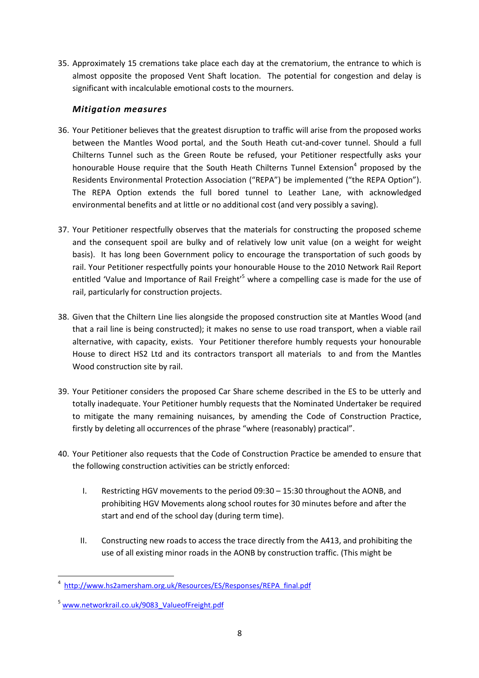35. Approximately 15 cremations take place each day at the crematorium, the entrance to which is almost opposite the proposed Vent Shaft location. The potential for congestion and delay is significant with incalculable emotional costs to the mourners.

#### Mitigation measures

- 36. Your Petitioner believes that the greatest disruption to traffic will arise from the proposed works between the Mantles Wood portal, and the South Heath cut-and-cover tunnel. Should a full Chilterns Tunnel such as the Green Route be refused, your Petitioner respectfully asks your honourable House require that the South Heath Chilterns Tunnel Extension<sup>4</sup> proposed by the Residents Environmental Protection Association ("REPA") be implemented ("the REPA Option"). The REPA Option extends the full bored tunnel to Leather Lane, with acknowledged environmental benefits and at little or no additional cost (and very possibly a saving).
- 37. Your Petitioner respectfully observes that the materials for constructing the proposed scheme and the consequent spoil are bulky and of relatively low unit value (on a weight for weight basis). It has long been Government policy to encourage the transportation of such goods by rail. Your Petitioner respectfully points your honourable House to the 2010 Network Rail Report entitled 'Value and Importance of Rail Freight'<sup>5</sup> where a compelling case is made for the use of rail, particularly for construction projects.
- 38. Given that the Chiltern Line lies alongside the proposed construction site at Mantles Wood (and that a rail line is being constructed); it makes no sense to use road transport, when a viable rail alternative, with capacity, exists. Your Petitioner therefore humbly requests your honourable House to direct HS2 Ltd and its contractors transport all materials to and from the Mantles Wood construction site by rail.
- 39. Your Petitioner considers the proposed Car Share scheme described in the ES to be utterly and totally inadequate. Your Petitioner humbly requests that the Nominated Undertaker be required to mitigate the many remaining nuisances, by amending the Code of Construction Practice, firstly by deleting all occurrences of the phrase "where (reasonably) practical".
- 40. Your Petitioner also requests that the Code of Construction Practice be amended to ensure that the following construction activities can be strictly enforced:
	- I. Restricting HGV movements to the period 09:30 15:30 throughout the AONB, and prohibiting HGV Movements along school routes for 30 minutes before and after the start and end of the school day (during term time).
	- II. Constructing new roads to access the trace directly from the A413, and prohibiting the use of all existing minor roads in the AONB by construction traffic. (This might be

 $\overline{\phantom{0}}$ 

<sup>&</sup>lt;sup>4</sup> http://www.hs2amersham.org.uk/Resources/ES/Responses/REPA\_final.pdf

<sup>&</sup>lt;sup>5</sup> www.networkrail.co.uk/9083\_ValueofFreight.pdf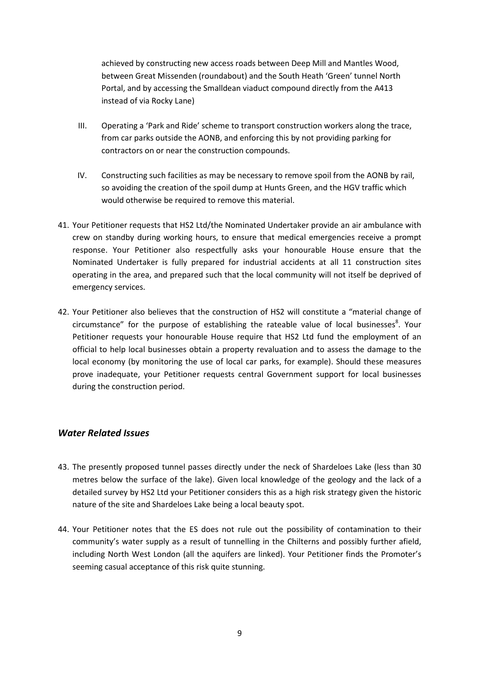achieved by constructing new access roads between Deep Mill and Mantles Wood, between Great Missenden (roundabout) and the South Heath 'Green' tunnel North Portal, and by accessing the Smalldean viaduct compound directly from the A413 instead of via Rocky Lane)

- III. Operating a 'Park and Ride' scheme to transport construction workers along the trace, from car parks outside the AONB, and enforcing this by not providing parking for contractors on or near the construction compounds.
- IV. Constructing such facilities as may be necessary to remove spoil from the AONB by rail, so avoiding the creation of the spoil dump at Hunts Green, and the HGV traffic which would otherwise be required to remove this material.
- 41. Your Petitioner requests that HS2 Ltd/the Nominated Undertaker provide an air ambulance with crew on standby during working hours, to ensure that medical emergencies receive a prompt response. Your Petitioner also respectfully asks your honourable House ensure that the Nominated Undertaker is fully prepared for industrial accidents at all 11 construction sites operating in the area, and prepared such that the local community will not itself be deprived of emergency services.
- 42. Your Petitioner also believes that the construction of HS2 will constitute a "material change of circumstance" for the purpose of establishing the rateable value of local businesses<sup>8</sup>. Your Petitioner requests your honourable House require that HS2 Ltd fund the employment of an official to help local businesses obtain a property revaluation and to assess the damage to the local economy (by monitoring the use of local car parks, for example). Should these measures prove inadequate, your Petitioner requests central Government support for local businesses during the construction period.

## Water Related Issues

- 43. The presently proposed tunnel passes directly under the neck of Shardeloes Lake (less than 30 metres below the surface of the lake). Given local knowledge of the geology and the lack of a detailed survey by HS2 Ltd your Petitioner considers this as a high risk strategy given the historic nature of the site and Shardeloes Lake being a local beauty spot.
- 44. Your Petitioner notes that the ES does not rule out the possibility of contamination to their community's water supply as a result of tunnelling in the Chilterns and possibly further afield, including North West London (all the aquifers are linked). Your Petitioner finds the Promoter's seeming casual acceptance of this risk quite stunning.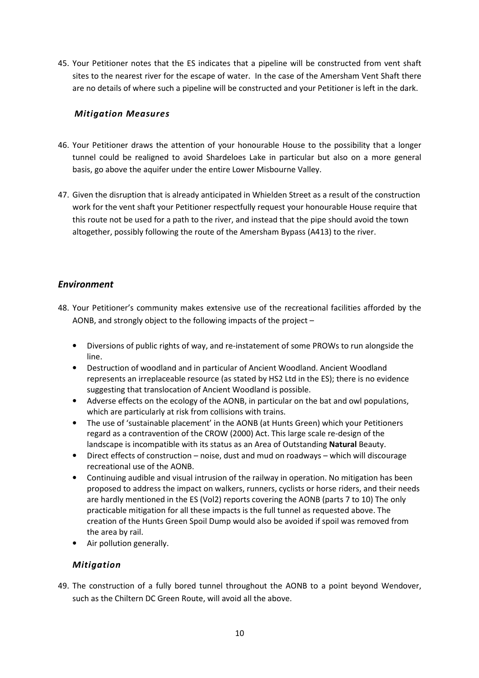45. Your Petitioner notes that the ES indicates that a pipeline will be constructed from vent shaft sites to the nearest river for the escape of water. In the case of the Amersham Vent Shaft there are no details of where such a pipeline will be constructed and your Petitioner is left in the dark.

#### Mitigation Measures

- 46. Your Petitioner draws the attention of your honourable House to the possibility that a longer tunnel could be realigned to avoid Shardeloes Lake in particular but also on a more general basis, go above the aquifer under the entire Lower Misbourne Valley.
- 47. Given the disruption that is already anticipated in Whielden Street as a result of the construction work for the vent shaft your Petitioner respectfully request your honourable House require that this route not be used for a path to the river, and instead that the pipe should avoid the town altogether, possibly following the route of the Amersham Bypass (A413) to the river.

## Environment

- 48. Your Petitioner's community makes extensive use of the recreational facilities afforded by the AONB, and strongly object to the following impacts of the project –
	- Diversions of public rights of way, and re-instatement of some PROWs to run alongside the line.
	- Destruction of woodland and in particular of Ancient Woodland. Ancient Woodland represents an irreplaceable resource (as stated by HS2 Ltd in the ES); there is no evidence suggesting that translocation of Ancient Woodland is possible.
	- Adverse effects on the ecology of the AONB, in particular on the bat and owl populations, which are particularly at risk from collisions with trains.
	- The use of 'sustainable placement' in the AONB (at Hunts Green) which your Petitioners regard as a contravention of the CROW (2000) Act. This large scale re-design of the landscape is incompatible with its status as an Area of Outstanding Natural Beauty.
	- Direct effects of construction noise, dust and mud on roadways which will discourage recreational use of the AONB.
	- Continuing audible and visual intrusion of the railway in operation. No mitigation has been proposed to address the impact on walkers, runners, cyclists or horse riders, and their needs are hardly mentioned in the ES (Vol2) reports covering the AONB (parts 7 to 10) The only practicable mitigation for all these impacts is the full tunnel as requested above. The creation of the Hunts Green Spoil Dump would also be avoided if spoil was removed from the area by rail.
	- Air pollution generally.

## Mitigation

49. The construction of a fully bored tunnel throughout the AONB to a point beyond Wendover, such as the Chiltern DC Green Route, will avoid all the above.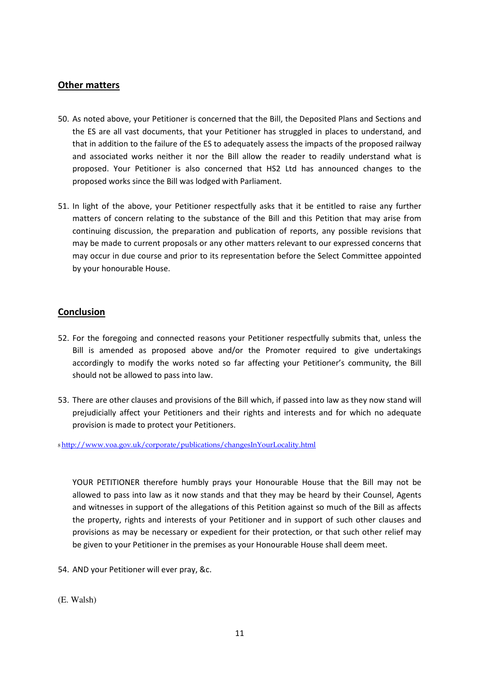#### Other matters

- 50. As noted above, your Petitioner is concerned that the Bill, the Deposited Plans and Sections and the ES are all vast documents, that your Petitioner has struggled in places to understand, and that in addition to the failure of the ES to adequately assess the impacts of the proposed railway and associated works neither it nor the Bill allow the reader to readily understand what is proposed. Your Petitioner is also concerned that HS2 Ltd has announced changes to the proposed works since the Bill was lodged with Parliament.
- 51. In light of the above, your Petitioner respectfully asks that it be entitled to raise any further matters of concern relating to the substance of the Bill and this Petition that may arise from continuing discussion, the preparation and publication of reports, any possible revisions that may be made to current proposals or any other matters relevant to our expressed concerns that may occur in due course and prior to its representation before the Select Committee appointed by your honourable House.

#### **Conclusion**

- 52. For the foregoing and connected reasons your Petitioner respectfully submits that, unless the Bill is amended as proposed above and/or the Promoter required to give undertakings accordingly to modify the works noted so far affecting your Petitioner's community, the Bill should not be allowed to pass into law.
- 53. There are other clauses and provisions of the Bill which, if passed into law as they now stand will prejudicially affect your Petitioners and their rights and interests and for which no adequate provision is made to protect your Petitioners.

<sup>8</sup>http://www.voa.gov.uk/corporate/publications/changesInYourLocality.html

YOUR PETITIONER therefore humbly prays your Honourable House that the Bill may not be allowed to pass into law as it now stands and that they may be heard by their Counsel, Agents and witnesses in support of the allegations of this Petition against so much of the Bill as affects the property, rights and interests of your Petitioner and in support of such other clauses and provisions as may be necessary or expedient for their protection, or that such other relief may be given to your Petitioner in the premises as your Honourable House shall deem meet.

- 54. AND your Petitioner will ever pray, &c.
- (E. Walsh)